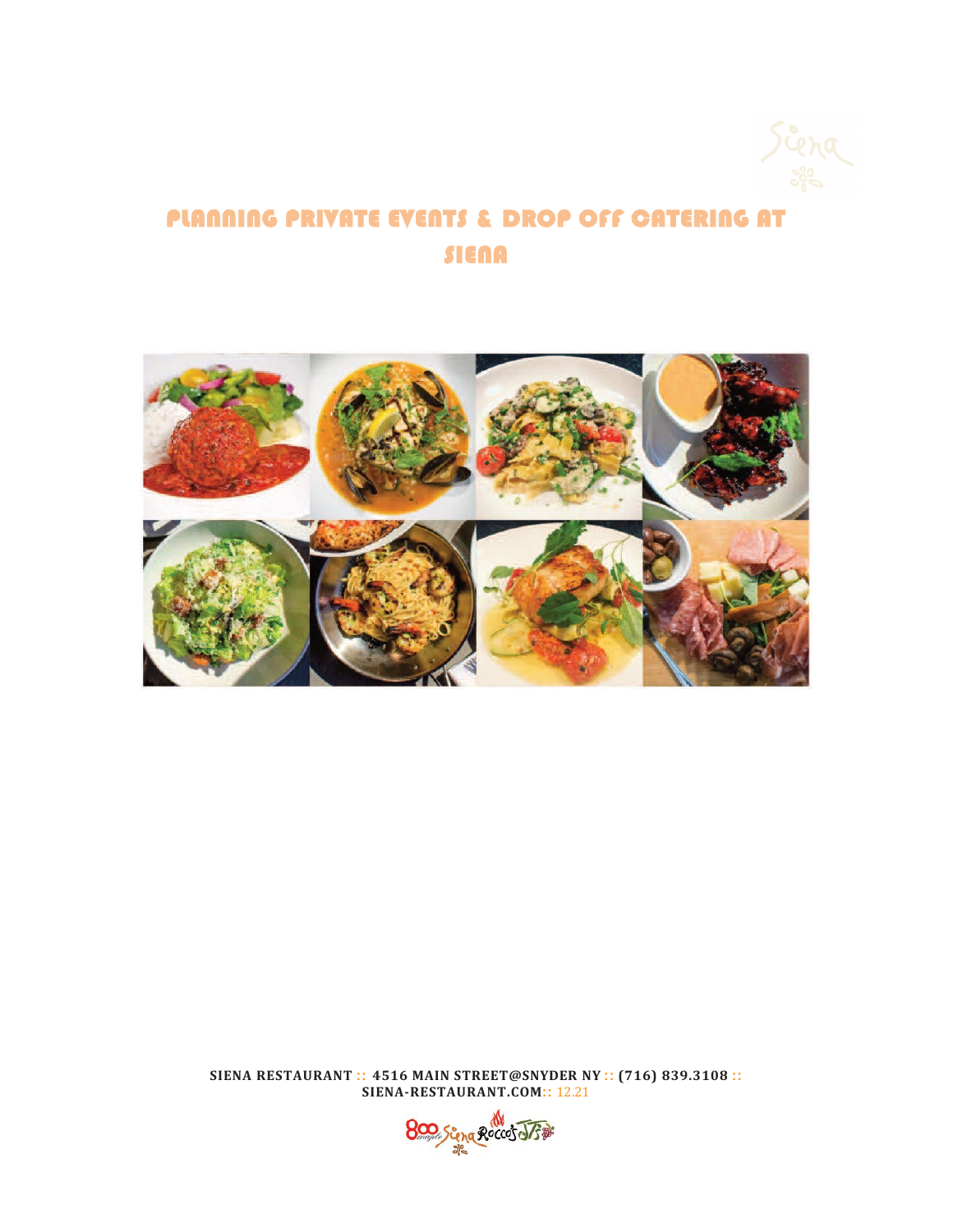

# PLANNING PRIVATE EVENTS & DROP OFF CATERING AT SIENA



**SIENA RESTAURANT :: 4516 MAIN STREET@SNYDER NY :: (716) 839.3108 :: SIENA-RESTAURANT.COM::** 12.21

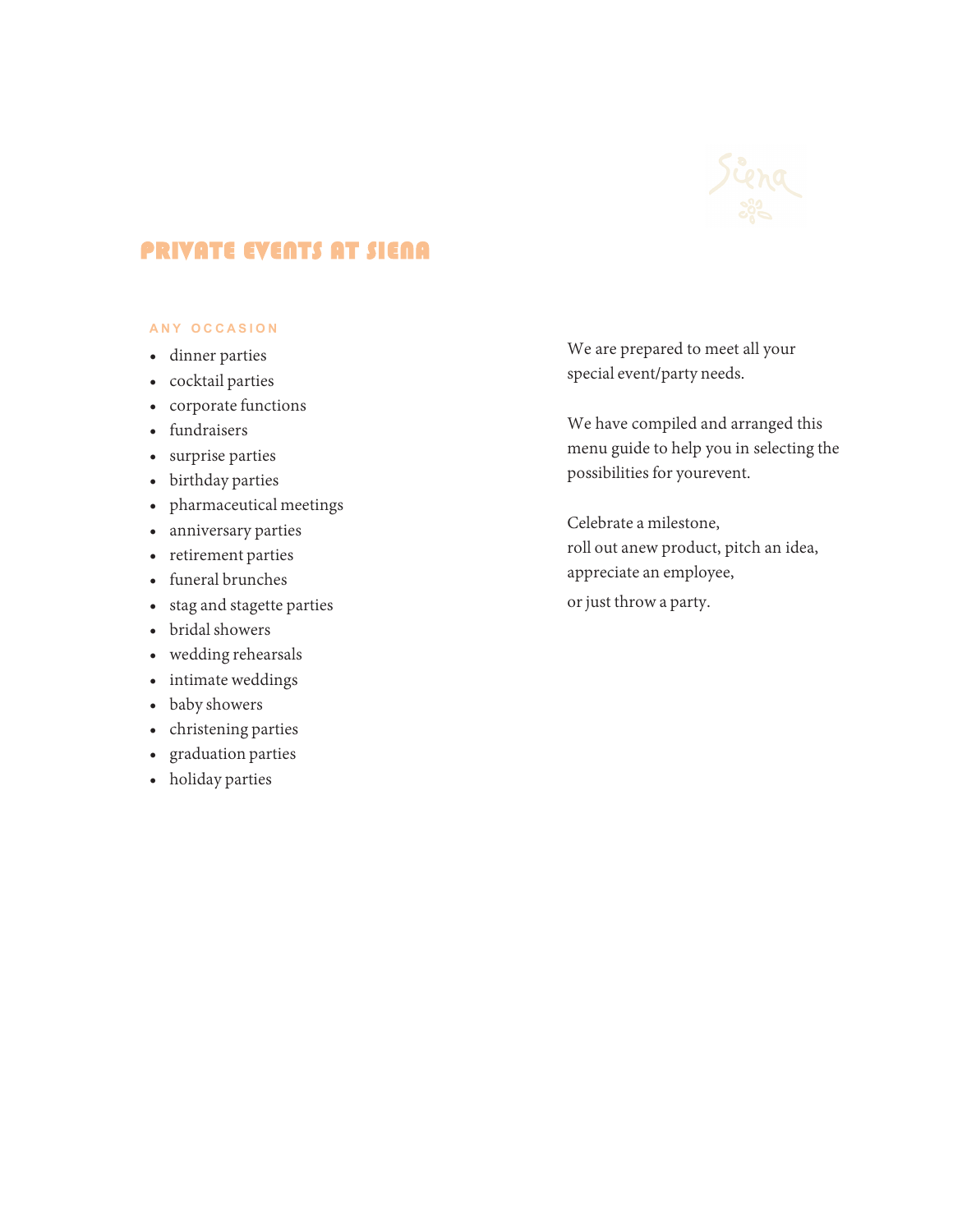

# PRIVATE EVENTS AT SIENA

## **A N Y O C C A S I O N**

- dinner parties
- cocktail parties
- corporate functions
- fundraisers
- surprise parties
- birthday parties
- pharmaceutical meetings
- anniversary parties
- retirement parties
- funeral brunches
- stag and stagette parties
- bridal showers
- wedding rehearsals
- intimate weddings
- baby showers
- christening parties
- graduation parties
- holiday parties

We are prepared to meet all your special event/party needs.

We have compiled and arranged this menu guide to help you in selecting the possibilities for yourevent.

Celebrate a milestone, roll out anew product, pitch an idea, appreciate an employee, or just throw a party.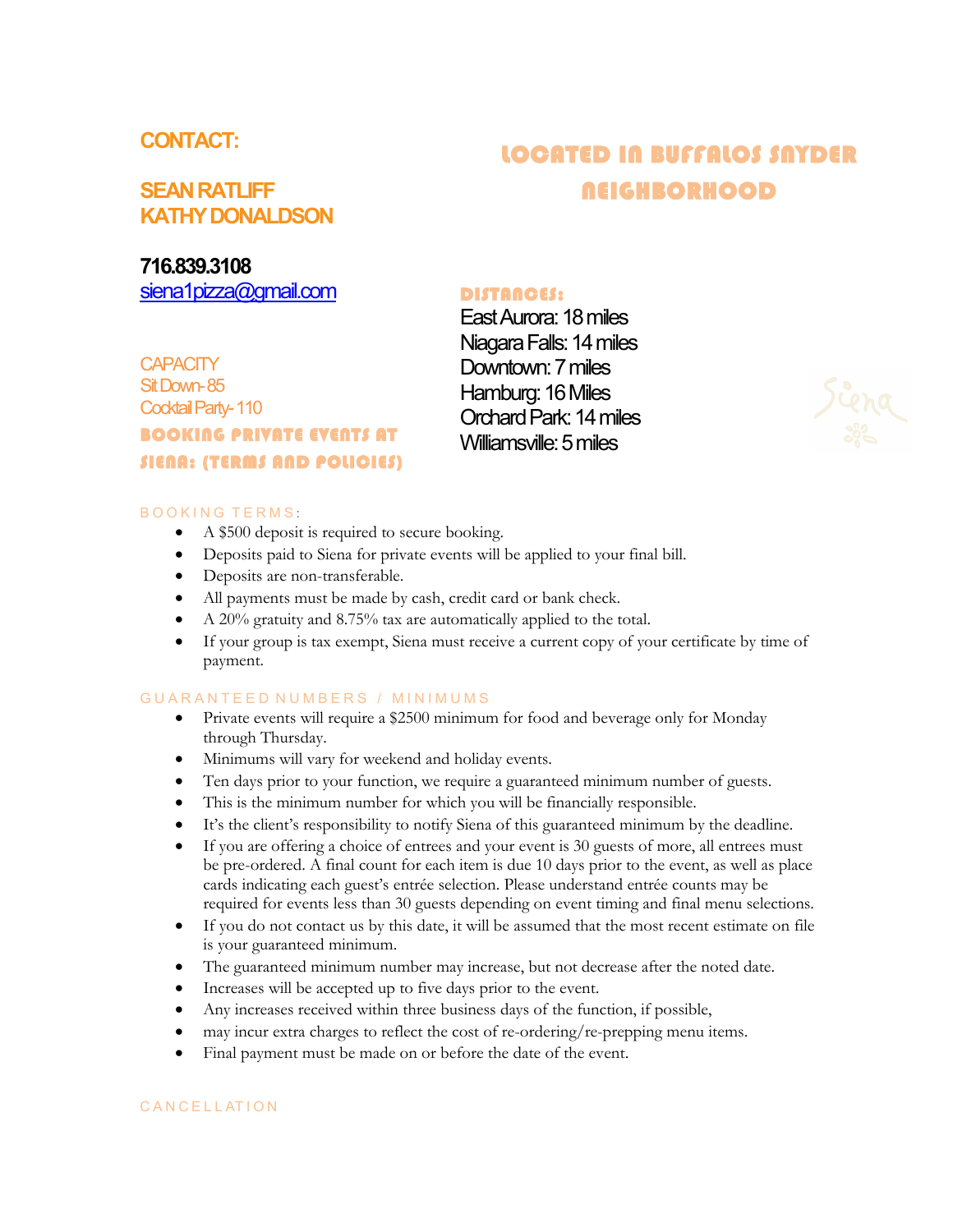# **CONTACT:**

# **SEAN RATLIFF KATHY DONALDSON**

# **716.839.3108**

[siena1pizza@gmail.com](mailto:siena1pizza@gmail.com)

**CAPACITY** Sit Down-85 Cocktail Party- 110 BOOKING PRIVATE EVENTS AT SIENA: (TERMS AND POLICIES)

# LOCATED IN BUFFALOS SNYDER **NEIGHBORHOOD**

# DISTANCES:

East Aurora: 18 miles Niagara Falls: 14 miles Downtown: 7 miles Hamburg: 16 Miles Orchard Park: 14 miles Williamsville: 5 miles



- A \$500 deposit is required to secure booking.
- Deposits paid to Siena for private events will be applied to your final bill.
- Deposits are non-transferable.
- All payments must be made by cash, credit card or bank check.
- A 20% gratuity and 8.75% tax are automatically applied to the total.
- If your group is tax exempt, Siena must receive a current copy of your certificate by time of payment.

### GUARANTEED NUMBERS / MINIMUMS

- Private events will require a \$2500 minimum for food and beverage only for Monday through Thursday.
- Minimums will vary for weekend and holiday events.
- Ten days prior to your function, we require a guaranteed minimum number of guests.
- This is the minimum number for which you will be financially responsible.
- It's the client's responsibility to notify Siena of this guaranteed minimum by the deadline.
- If you are offering a choice of entrees and your event is 30 guests of more, all entrees must be pre-ordered. A final count for each item is due 10 days prior to the event, as well as place cards indicating each guest's entrée selection. Please understand entrée counts may be required for events less than 30 guests depending on event timing and final menu selections.
- If you do not contact us by this date, it will be assumed that the most recent estimate on file is your guaranteed minimum.
- The guaranteed minimum number may increase, but not decrease after the noted date.
- Increases will be accepted up to five days prior to the event.
- Any increases received within three business days of the function, if possible,
- may incur extra charges to reflect the cost of re-ordering/re-prepping menu items.
- Final payment must be made on or before the date of the event.

### CANCELLATION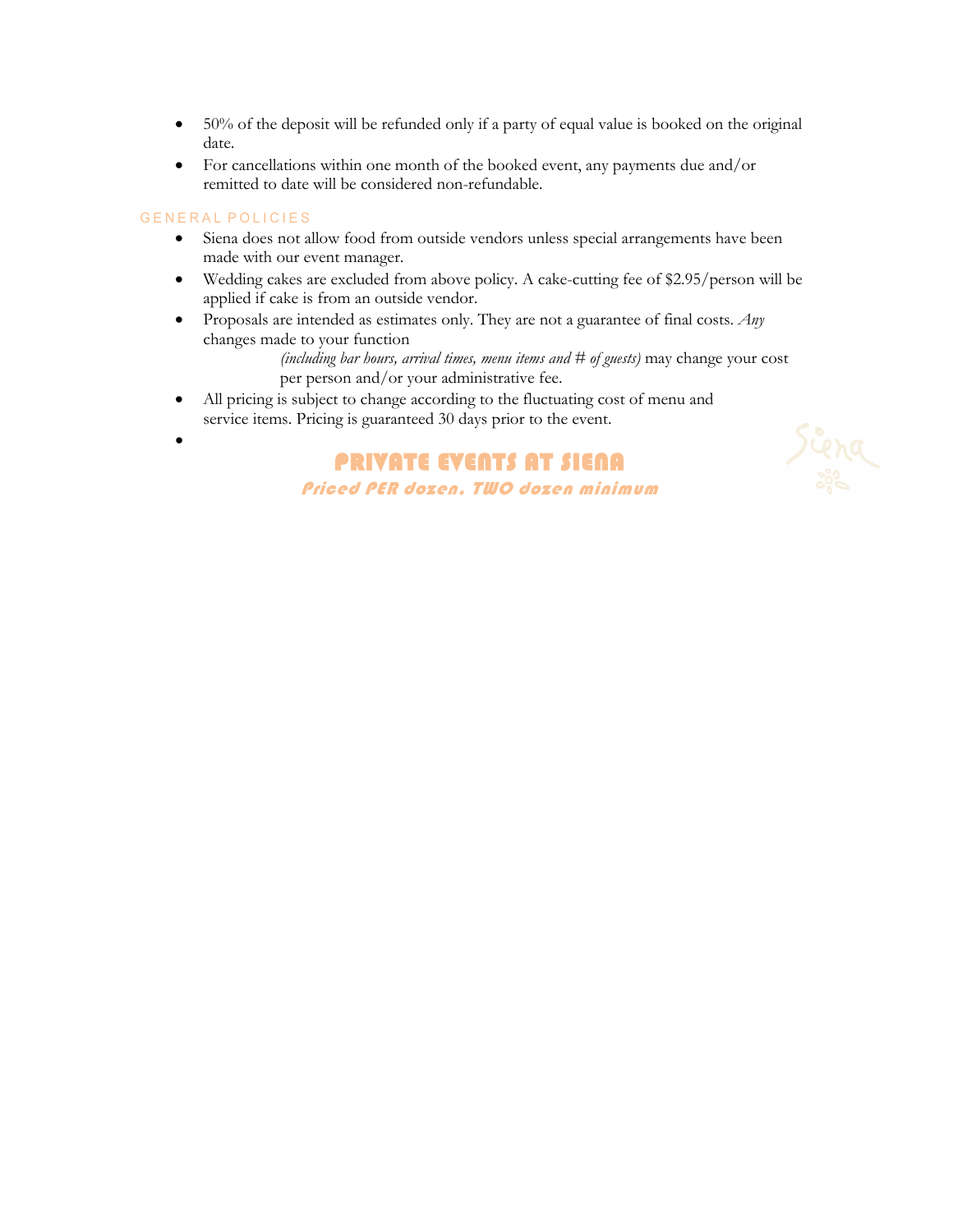- 50% of the deposit will be refunded only if a party of equal value is booked on the original date.
- For cancellations within one month of the booked event, any payments due and/or remitted to date will be considered non-refundable.

### GENERAL POLICIES

- Siena does not allow food from outside vendors unless special arrangements have been made with our event manager.
- Wedding cakes are excluded from above policy. A cake-cutting fee of \$2.95/person will be applied if cake is from an outside vendor.
- Proposals are intended as estimates only. They are not a guarantee of final costs. *Any* changes made to your function

*(including bar hours, arrival times, menu items and # of guests)* may change your cost per person and/or your administrative fee.

- All pricing is subject to change according to the fluctuating cost of menu and service items. Pricing is guaranteed 30 days prior to the event.
- •

PRIVATE EVENTS AT SIENA Priced PER dozen, TWO dozen minimum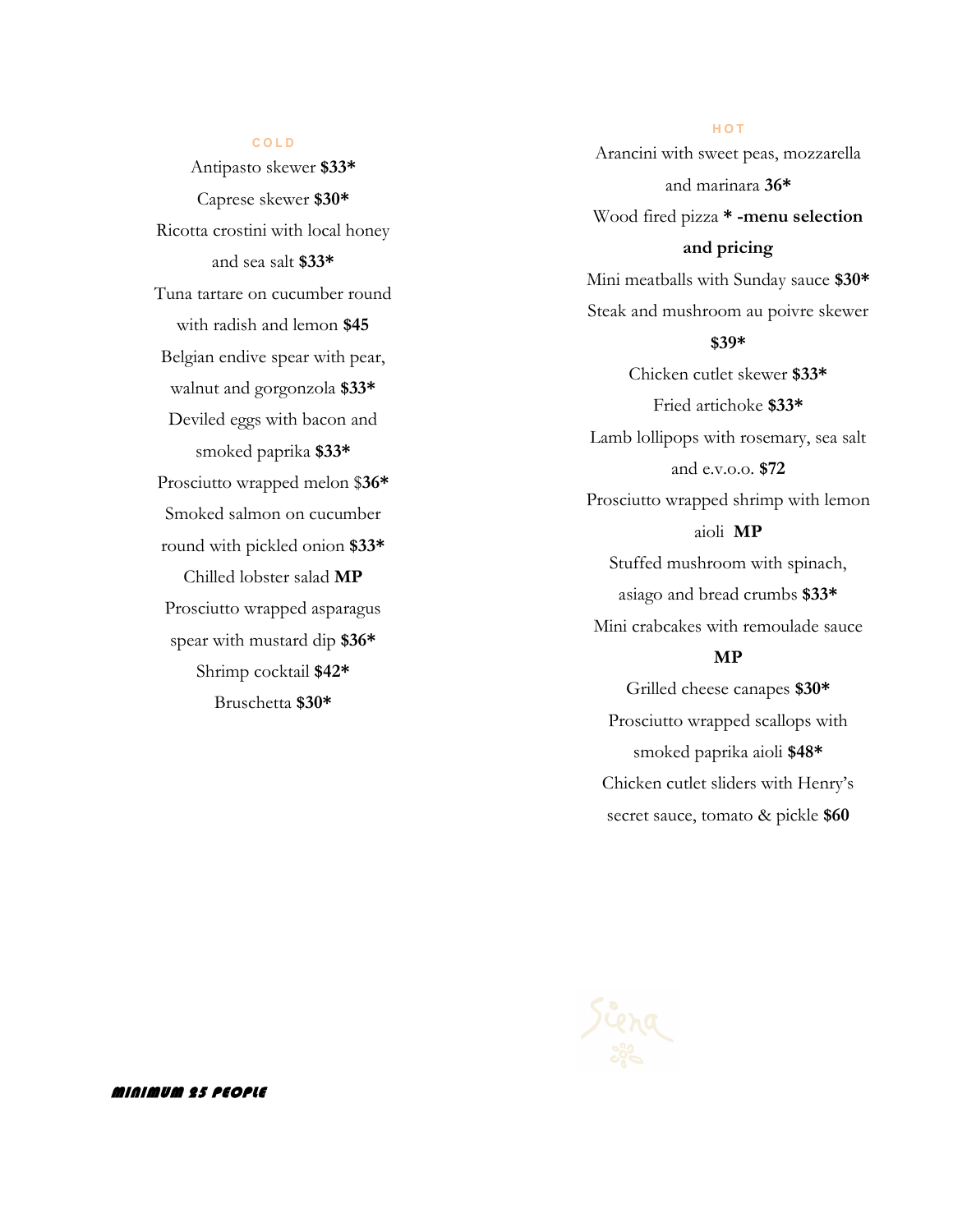### **C O L D**

Antipasto skewer **\$33\***  Caprese skewer **\$30\*** Ricotta crostini with local honey and sea salt **\$33\*** Tuna tartare on cucumber round with radish and lemon **\$45** Belgian endive spear with pear, walnut and gorgonzola **\$33\*** Deviled eggs with bacon and smoked paprika **\$33\*** Prosciutto wrapped melon \$**36\***  Smoked salmon on cucumber round with pickled onion **\$33\*** Chilled lobster salad **MP** Prosciutto wrapped asparagus spear with mustard dip **\$36\*** Shrimp cocktail **\$42\*** Bruschetta **\$30\***

**H O T** Arancini with sweet peas, mozzarella and marinara **36\*** Wood fired pizza **\* -menu selection and pricing** Mini meatballs with Sunday sauce **\$30\*** Steak and mushroom au poivre skewer **\$39\*** Chicken cutlet skewer **\$33\*** Fried artichoke **\$33\*** Lamb lollipops with rosemary, sea salt and e.v.o.o. **\$72** Prosciutto wrapped shrimp with lemon aioli **MP** Stuffed mushroom with spinach, asiago and bread crumbs **\$33\***  Mini crabcakes with remoulade sauce **MP**

Grilled cheese canapes **\$30\*** Prosciutto wrapped scallops with smoked paprika aioli **\$48\*** Chicken cutlet sliders with Henry's secret sauce, tomato & pickle **\$60**

MINIMUM 25 PEOPLE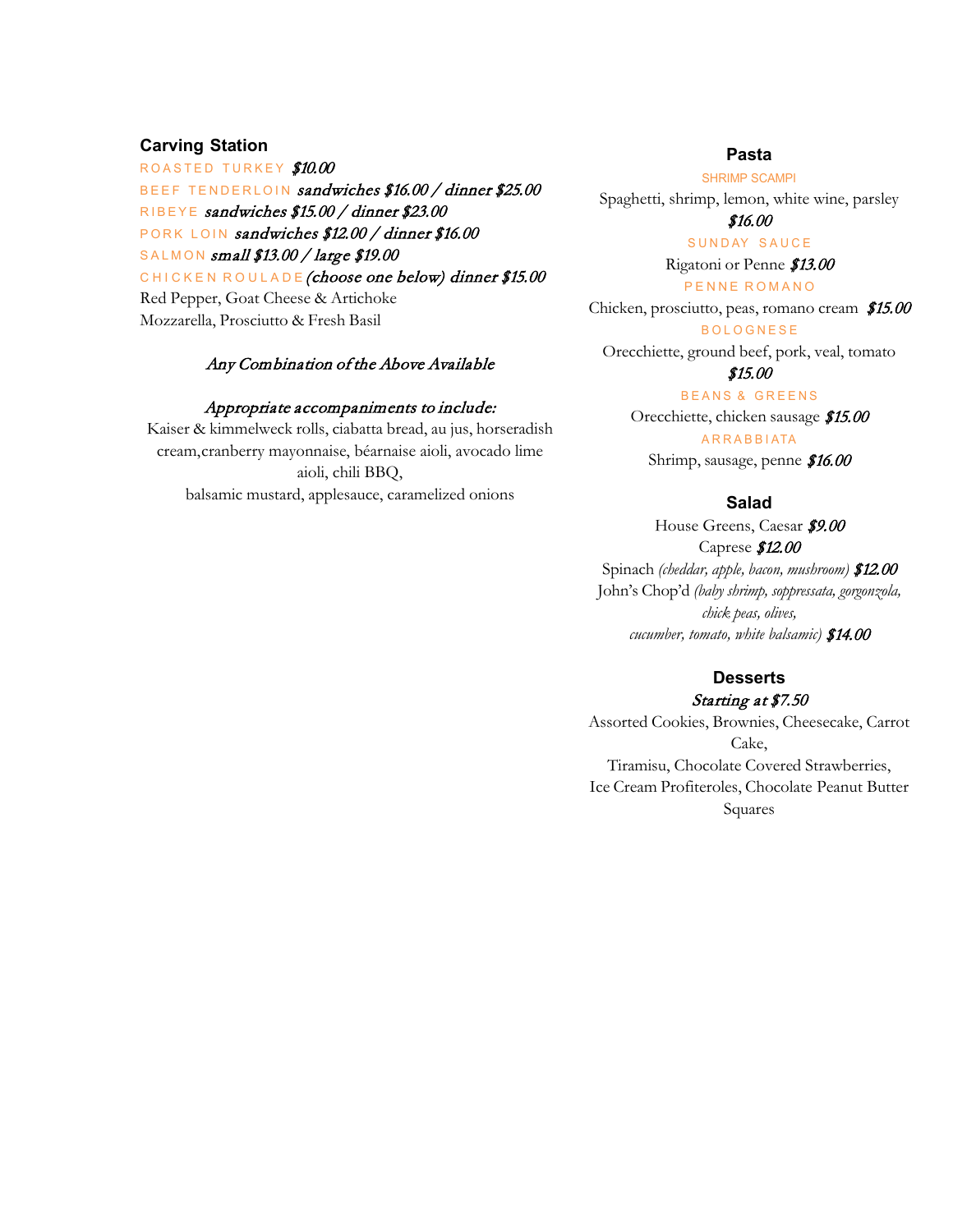## **Carving Station**

ROASTED TURKEY \$10.00 BEEF TENDERLOIN sandwiches \$16.00 / dinner \$25.00 RIBEYE sandwiches \$15.00 / dinner \$23.00 PORK LOIN sandwiches \$12.00 / dinner \$16.00 SALMON small \$13.00 / large \$19.00 CHICKEN ROULADE (choose one below) dinner \$15.00 Red Pepper, Goat Cheese & Artichoke Mozzarella, Prosciutto & Fresh Basil

## Any Combination of the Above Available

### Appropriate accompaniments to include:

Kaiser & kimmelweck rolls, ciabatta bread, au jus, horseradish cream,cranberry mayonnaise, béarnaise aioli, avocado lime aioli, chili BBQ, balsamic mustard, applesauce, caramelized onions

### **Pasta**

SHRIMP SCAMPI

Spaghetti, shrimp, lemon, white wine, parsley

### \$16.00 SUNDAY SAUCE

Rigatoni or Penne \$13.00

#### PENNE ROMANO

Chicken, prosciutto, peas, romano cream \$15.00

**BOLOGNESE** 

Orecchiette, ground beef, pork, veal, tomato

# \$15.00

BEANS & GREENS

Orecchiette, chicken sausage \$15.00 A R R A B B I ATA

Shrimp, sausage, penne \$16.00

### **Salad**

House Greens, Caesar \$9.00 Caprese \$12.00 Spinach *(cheddar, apple, bacon, mushroom)* \$12.00 John's Chop'd *(baby shrimp, soppressata, gorgonzola, chick peas, olives, cucumber, tomato, white balsamic)* \$14.00

# **Desserts**

### Starting at \$7.50

Assorted Cookies, Brownies, Cheesecake, Carrot Cake, Tiramisu, Chocolate Covered Strawberries, Ice Cream Profiteroles, Chocolate Peanut Butter Squares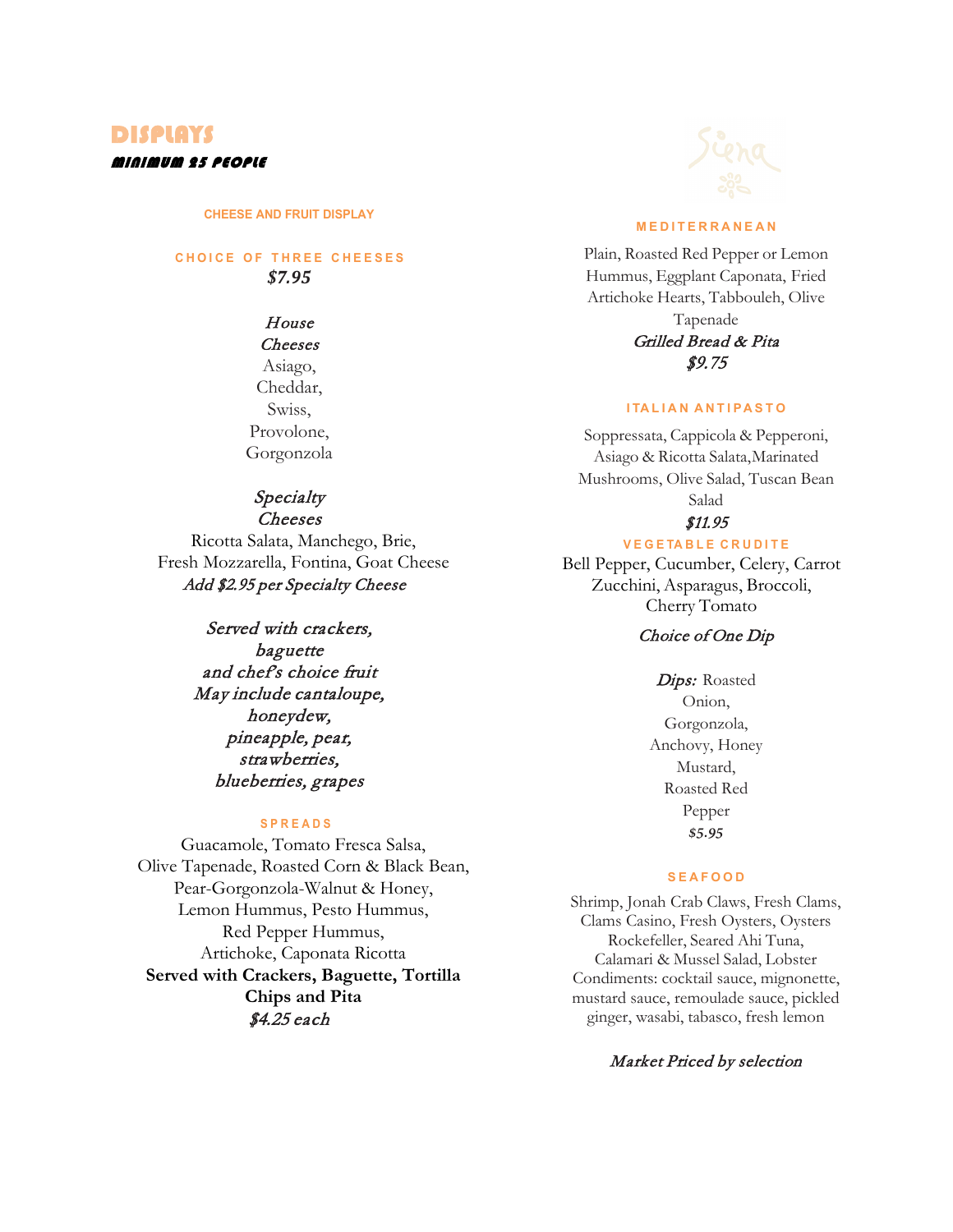# DISPLAYS MINIMUM 25 PEOPLE

#### **CHEESE AND FRUIT DISPLAY**

## **C H O I C E O F T H R E E C H E E S E S** *\$7.95*

# House

Cheeses Asiago, Cheddar, Swiss, Provolone, Gorgonzola

# **Specialty**

Cheeses Ricotta Salata, Manchego, Brie, Fresh Mozzarella, Fontina, Goat Cheese Add \$2.95 per Specialty Cheese

> Served with crackers, baguette and chef's choice fruit May include cantaloupe, honeydew, pineapple, pear, strawberries, blueberries, grapes

### **S P R E A D S**

Guacamole, Tomato Fresca Salsa, Olive Tapenade, Roasted Corn & Black Bean, Pear-Gorgonzola-Walnut & Honey, Lemon Hummus, Pesto Hummus, Red Pepper Hummus, Artichoke, Caponata Ricotta **Served with Crackers, Baguette, Tortilla Chips and Pita** \$4.25 each



### **M E D I T E R R A N E A N**

Plain, Roasted Red Pepper or Lemon Hummus, Eggplant Caponata, Fried Artichoke Hearts, Tabbouleh, Olive Tapenade Grilled Bread & Pita \$9.75

### **I TA L I A N A N T I PA S T O**

Soppressata, Cappicola & Pepperoni, Asiago & Ricotta Salata,Marinated Mushrooms, Olive Salad, Tuscan Bean Salad \$11.95

#### **V E G E TA B L E C R U D I T E**

Bell Pepper, Cucumber, Celery, Carrot Zucchini, Asparagus, Broccoli, Cherry Tomato

## Choice of One Dip

Dips: Roasted Onion, Gorgonzola, Anchovy, Honey Mustard, Roasted Red Pepper *\$5.95*

### **S E A F O O D**

Shrimp, Jonah Crab Claws, Fresh Clams, Clams Casino, Fresh Oysters, Oysters Rockefeller, Seared Ahi Tuna, Calamari & Mussel Salad, Lobster Condiments: cocktail sauce, mignonette, mustard sauce, remoulade sauce, pickled ginger, wasabi, tabasco, fresh lemon

# Market Priced by selection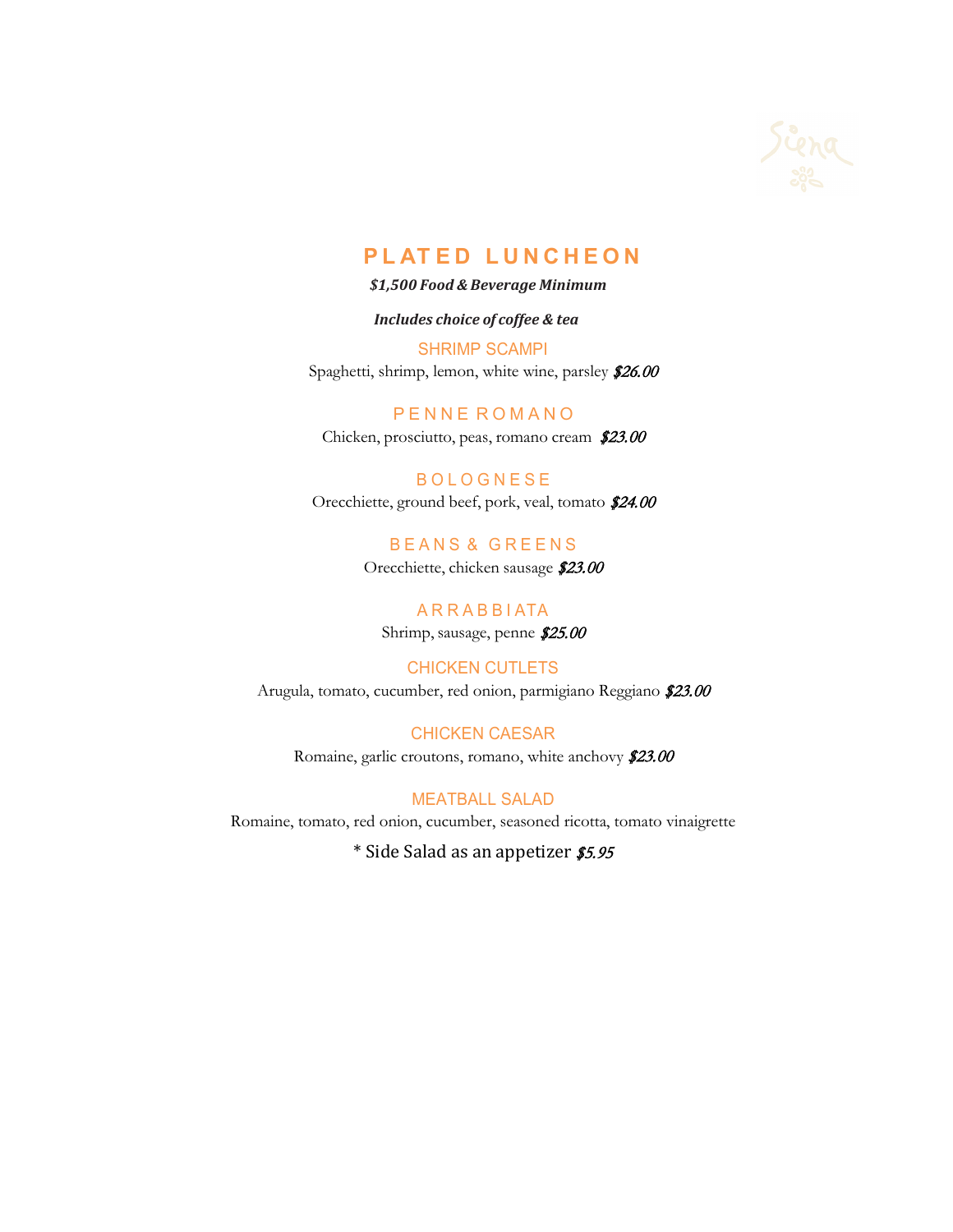

# **P L AT E D L U N C H E O N**

### *\$1,500 Food & Beverage Minimum*

### *Includes choice of coffee & tea*

SHRIMP SCAMPI Spaghetti, shrimp, lemon, white wine, parsley \$26.00

P E N N E R O M A N O Chicken, prosciutto, peas, romano cream \$23.00

**BOLOGNESE** Orecchiette, ground beef, pork, veal, tomato \$24.00

> B E A N S & G R E E N S Orecchiette, chicken sausage \$23.00

A R R A B B I ATA Shrimp, sausage, penne \$25.00

CHICKEN CUTLETS Arugula, tomato, cucumber, red onion, parmigiano Reggiano \$23.00

CHICKEN CAESAR Romaine, garlic croutons, romano, white anchovy \$23.00

MEATBALL SALAD Romaine, tomato, red onion, cucumber, seasoned ricotta, tomato vinaigrette

\* Side Salad as an appetizer \$5.95